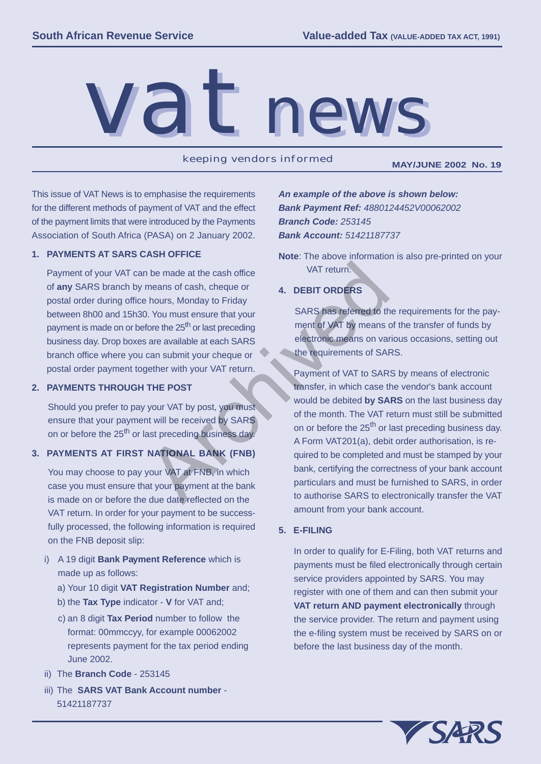

keeping vendors informed **MAY/JUNE 2002 No. 19**

This issue of VAT News is to emphasise the requirements for the different methods of payment of VAT and the effect of the payment limits that were introduced by the Payments Association of South Africa (PASA) on 2 January 2002.

### **1. PAYMENTS AT SARS CASH OFFICE**

Payment of your VAT can be made at the cash office of **any** SARS branch by means of cash, cheque or postal order during office hours, Monday to Friday between 8h00 and 15h30. You must ensure that your payment is made on or before the 25<sup>th</sup> or last preceding business day. Drop boxes are available at each SARS branch office where you can submit your cheque or postal order payment together with your VAT return.

### **2. PAYMENTS THROUGH THE POST**

Should you prefer to pay your VAT by post, you must ensure that your payment will be received by SARS on or before the 25<sup>th</sup> or last preceding business day.

## **3. PAYMENTS AT FIRST NATIONAL BANK (FNB)**

You may choose to pay your VAT at FNB, in which case you must ensure that your payment at the bank is made on or before the due date reflected on the VAT return. In order for your payment to be success fully processed, the following information is required on the FNB deposit slip:

- i) A 19 digit **Bank Payment Reference** which is made up as follows:
	- a) Your 10 digit **VAT Registration Number** and;
	- b) the Tax Type indicator V for VAT and;
	- c) an 8 digit **Tax Period** number to follow the format: 00mmccyy, for example 00062002 represents payment for the tax period ending June 2002.
- ii) The **Branch Code** 253145
- iii) The **SARS VAT Bank Account number** 51421187737

An example of the above is shown below: *Bank Payment Ref: 4880124452V00062002 Branch Code: 253145 Bank Account: 51421187737*

**Note**: The above information is also pre-printed on your VAT return.

# **4. DEBIT ORDERS**

SARS has referred to the requirements for the pay ment of VAT by means of the transfer of funds by electronic means on various occasions, setting out the requirements of SARS.

Payment of VAT to SARS by means of electronic transfer, in which case the vendor's bank account would be debited **by SARS** on the last business day of the month. The VAT return must still be submitted on or before the 25<sup>th</sup> or last preceding business day. A Form VAT201(a), debit order authorisation, is re quired to be completed and must be stamped by your bank, certifying the correctness of your bank account particulars and must be furnished to SARS, in order to authorise SARS to electronically transfer the VAT amount from your bank account. Net the cash, cheque or<br>
Marchived and the cash, cheque or<br>
Archived a business of cash, cheque or<br>
Archived a business of the 25<sup>th</sup> or last preceding<br>
SARS has referred to the<br>
fore the 25<sup>th</sup> or last preceding<br>
are avai

## **5. E-FILING**

In order to qualify for E-Filing, both VAT returns and payments must be filed electronically through certain service providers appointed by SARS. You may register with one of them and can then submit your **VAT return AND payment electronically** through the service provider. The return and payment using the e-filing system must be received by SARS on or before the last business day of the month.